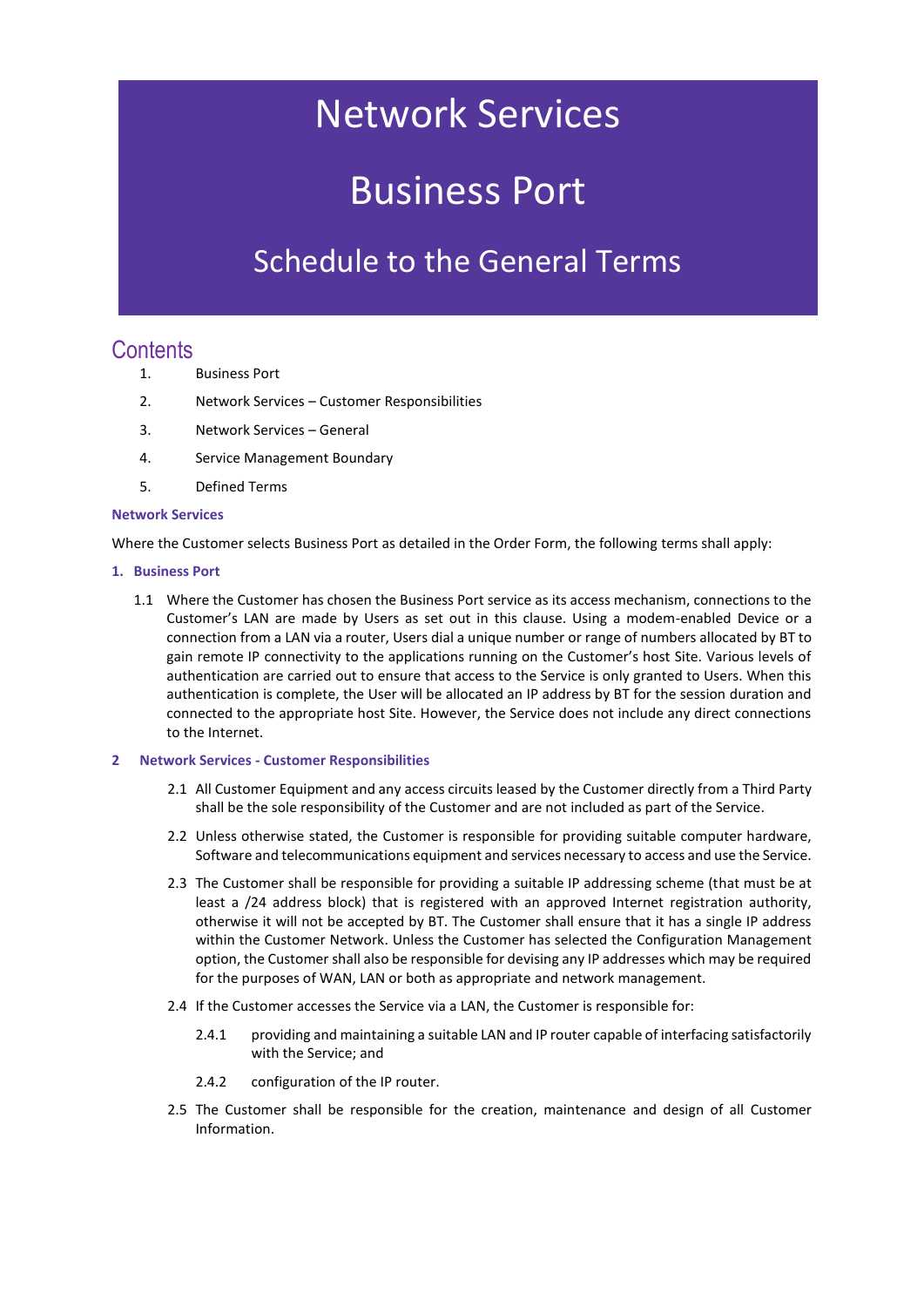# Network Services

# Business Port

### Schedule to the General Terms

### **Contents**

- 1. Business Port
- 2. Network Services Customer Responsibilities
- 3. Network Services General
- 4. Service Management Boundary
- 5. Defined Terms

#### **Network Services**

Where the Customer selects Business Port as detailed in the Order Form, the following terms shall apply:

- **1. Business Port**
	- 1.1 Where the Customer has chosen the Business Port service as its access mechanism, connections to the Customer's LAN are made by Users as set out in this clause. Using a modem-enabled Device or a connection from a LAN via a router, Users dial a unique number or range of numbers allocated by BT to gain remote IP connectivity to the applications running on the Customer's host Site. Various levels of authentication are carried out to ensure that access to the Service is only granted to Users. When this authentication is complete, the User will be allocated an IP address by BT for the session duration and connected to the appropriate host Site. However, the Service does not include any direct connections to the Internet.
- **2 Network Services - Customer Responsibilities** 
	- 2.1 All Customer Equipment and any access circuits leased by the Customer directly from a Third Party shall be the sole responsibility of the Customer and are not included as part of the Service.
	- 2.2 Unless otherwise stated, the Customer is responsible for providing suitable computer hardware, Software and telecommunications equipment and services necessary to access and use the Service.
	- 2.3 The Customer shall be responsible for providing a suitable IP addressing scheme (that must be at least a /24 address block) that is registered with an approved Internet registration authority, otherwise it will not be accepted by BT. The Customer shall ensure that it has a single IP address within the Customer Network. Unless the Customer has selected the Configuration Management option, the Customer shall also be responsible for devising any IP addresses which may be required for the purposes of WAN, LAN or both as appropriate and network management.
	- 2.4 If the Customer accesses the Service via a LAN, the Customer is responsible for:
		- 2.4.1 providing and maintaining a suitable LAN and IP router capable of interfacing satisfactorily with the Service; and
		- 2.4.2 configuration of the IP router.
	- 2.5 The Customer shall be responsible for the creation, maintenance and design of all Customer Information.